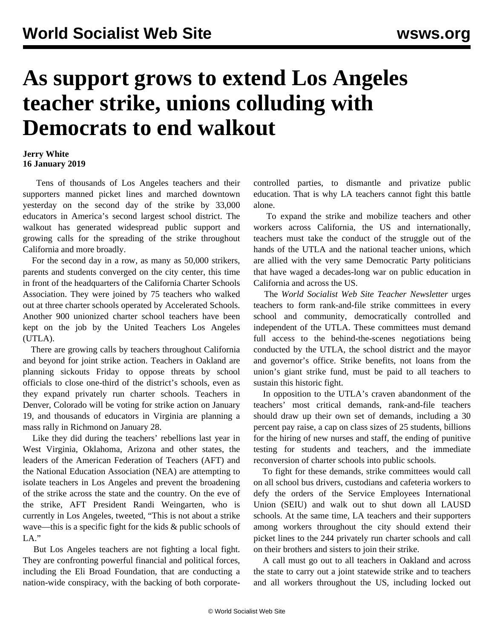## **As support grows to extend Los Angeles teacher strike, unions colluding with Democrats to end walkout**

## **Jerry White 16 January 2019**

 Tens of thousands of Los Angeles teachers and their supporters manned picket lines and marched downtown yesterday on the second day of the strike by 33,000 educators in America's second largest school district. The walkout has generated widespread public support and growing calls for the spreading of the strike throughout California and more broadly.

 For the second day in a row, as many as 50,000 strikers, parents and students converged on the city center, this time in front of the headquarters of the California Charter Schools Association. They were joined by 75 teachers who walked out at three charter schools operated by Accelerated Schools. Another 900 unionized charter school teachers have been kept on the job by the United Teachers Los Angeles (UTLA).

 There are growing calls by teachers throughout California and beyond for joint strike action. Teachers in Oakland are planning sickouts Friday to oppose threats by school officials to close one-third of the district's schools, even as they expand privately run charter schools. Teachers in Denver, Colorado will be voting for strike action on January 19, and thousands of educators in Virginia are planning a mass rally in Richmond on January 28.

 Like they did during the teachers' rebellions last year in West Virginia, Oklahoma, Arizona and other states, the leaders of the American Federation of Teachers (AFT) and the National Education Association (NEA) are attempting to isolate teachers in Los Angeles and prevent the broadening of the strike across the state and the country. On the eve of the strike, AFT President Randi Weingarten, who is currently in Los Angeles, tweeted, "This is not about a strike wave—this is a specific fight for the kids & public schools of  $LA.$ "

 But Los Angeles teachers are not fighting a local fight. They are confronting powerful financial and political forces, including the Eli Broad Foundation, that are conducting a nation-wide conspiracy, with the backing of both corporatecontrolled parties, to dismantle and privatize public education. That is why LA teachers cannot fight this battle alone.

 To expand the strike and mobilize teachers and other workers across California, the US and internationally, teachers must take the conduct of the struggle out of the hands of the UTLA and the national teacher unions, which are allied with the very same Democratic Party politicians that have waged a decades-long war on public education in California and across the US.

 The *World Socialist Web Site Teacher Newsletter* urges teachers to form rank-and-file strike committees in every school and community, democratically controlled and independent of the UTLA. These committees must demand full access to the behind-the-scenes negotiations being conducted by the UTLA, the school district and the mayor and governor's office. Strike benefits, not loans from the union's giant strike fund, must be paid to all teachers to sustain this historic fight.

 In opposition to the UTLA's craven abandonment of the teachers' most critical demands, rank-and-file teachers should draw up their own set of demands, including a 30 percent pay raise, a cap on class sizes of 25 students, billions for the hiring of new nurses and staff, the ending of punitive testing for students and teachers, and the immediate reconversion of charter schools into public schools.

 To fight for these demands, strike committees would call on all school bus drivers, custodians and cafeteria workers to defy the orders of the Service Employees International Union (SEIU) and walk out to shut down all LAUSD schools. At the same time, LA teachers and their supporters among workers throughout the city should extend their picket lines to the 244 privately run charter schools and call on their brothers and sisters to join their strike.

 A call must go out to all teachers in Oakland and across the state to carry out a joint statewide strike and to teachers and all workers throughout the US, including locked out